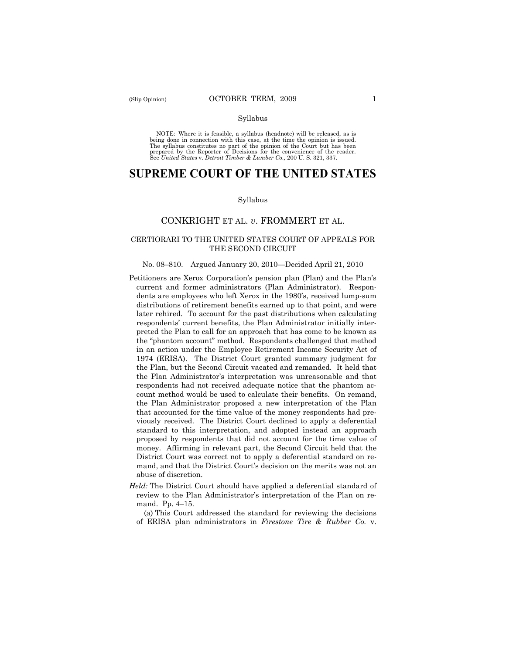#### Syllabus

NOTE: Where it is feasible, a syllabus (headnote) will be released, as is being done in connection with this case, at the time the opinion is issued. The syllabus constitutes no part of the opinion of the Court but has been<br>prepared by the Reporter of Decisions for the convenience of the reader.<br>See United States v. Detroit Timber & Lumber Co., 200 U. S. 321, 337.

# **SUPREME COURT OF THE UNITED STATES**

#### Syllabus

### CONKRIGHT ET AL. *v*. FROMMERT ET AL.

### CERTIORARI TO THE UNITED STATES COURT OF APPEALS FOR THE SECOND CIRCUIT

#### No. 08–810. Argued January 20, 2010—Decided April 21, 2010

- Petitioners are Xerox Corporation's pension plan (Plan) and the Plan's current and former administrators (Plan Administrator). Respondents are employees who left Xerox in the 1980's, received lump-sum distributions of retirement benefits earned up to that point, and were later rehired. To account for the past distributions when calculating respondents' current benefits, the Plan Administrator initially interpreted the Plan to call for an approach that has come to be known as the "phantom account" method. Respondents challenged that method in an action under the Employee Retirement Income Security Act of 1974 (ERISA). The District Court granted summary judgment for the Plan, but the Second Circuit vacated and remanded. It held that the Plan Administrator's interpretation was unreasonable and that respondents had not received adequate notice that the phantom account method would be used to calculate their benefits. On remand, the Plan Administrator proposed a new interpretation of the Plan that accounted for the time value of the money respondents had previously received. The District Court declined to apply a deferential standard to this interpretation, and adopted instead an approach proposed by respondents that did not account for the time value of money. Affirming in relevant part, the Second Circuit held that the District Court was correct not to apply a deferential standard on remand, and that the District Court's decision on the merits was not an abuse of discretion.
- *Held:* The District Court should have applied a deferential standard of review to the Plan Administrator's interpretation of the Plan on remand. Pp. 4–15.

(a) This Court addressed the standard for reviewing the decisions of ERISA plan administrators in *Firestone Tire & Rubber Co.* v.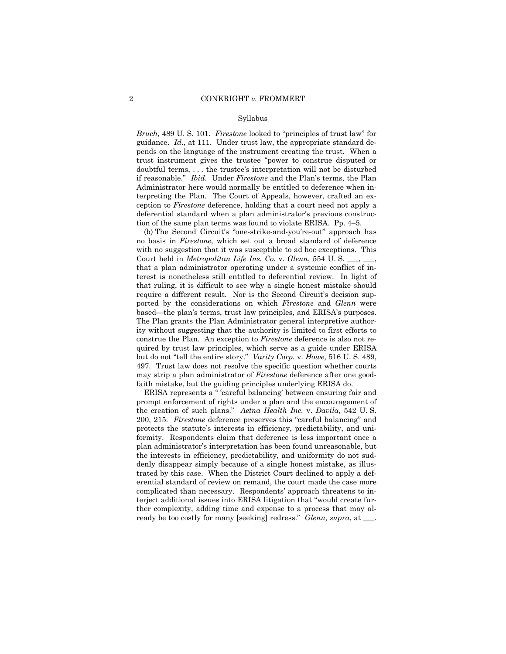#### Syllabus

*Bruch*, 489 U. S. 101. *Firestone* looked to "principles of trust law" for guidance. *Id.*, at 111. Under trust law, the appropriate standard depends on the language of the instrument creating the trust. When a trust instrument gives the trustee "power to construe disputed or doubtful terms, . . . the trustee's interpretation will not be disturbed if reasonable." *Ibid.* Under *Firestone* and the Plan's terms, the Plan Administrator here would normally be entitled to deference when interpreting the Plan. The Court of Appeals, however, crafted an exception to *Firestone* deference, holding that a court need not apply a deferential standard when a plan administrator's previous construction of the same plan terms was found to violate ERISA. Pp. 4–5.

(b) The Second Circuit's "one-strike-and-you're-out" approach has no basis in *Firestone*, which set out a broad standard of deference with no suggestion that it was susceptible to ad hoc exceptions. This Court held in *Metropolitan Life Ins. Co. v. Glenn*, 554 U.S. that a plan administrator operating under a systemic conflict of interest is nonetheless still entitled to deferential review. In light of that ruling, it is difficult to see why a single honest mistake should require a different result. Nor is the Second Circuit's decision supported by the considerations on which *Firestone* and *Glenn* were based—the plan's terms, trust law principles, and ERISA's purposes. The Plan grants the Plan Administrator general interpretive authority without suggesting that the authority is limited to first efforts to construe the Plan. An exception to *Firestone* deference is also not required by trust law principles, which serve as a guide under ERISA but do not "tell the entire story." *Varity Corp.* v. *Howe*, 516 U. S. 489, 497. Trust law does not resolve the specific question whether courts may strip a plan administrator of *Firestone* deference after one goodfaith mistake, but the guiding principles underlying ERISA do.

ERISA represents a " 'careful balancing' between ensuring fair and prompt enforcement of rights under a plan and the encouragement of the creation of such plans." *Aetna Health Inc.* v. *Davila*, 542 U. S. 200, 215. *Firestone* deference preserves this "careful balancing" and protects the statute's interests in efficiency, predictability, and uniformity. Respondents claim that deference is less important once a plan administrator's interpretation has been found unreasonable, but the interests in efficiency, predictability, and uniformity do not suddenly disappear simply because of a single honest mistake, as illustrated by this case. When the District Court declined to apply a deferential standard of review on remand, the court made the case more complicated than necessary. Respondents' approach threatens to interject additional issues into ERISA litigation that "would create further complexity, adding time and expense to a process that may already be too costly for many [seeking] redress." *Glenn, supra*, at \_\_\_.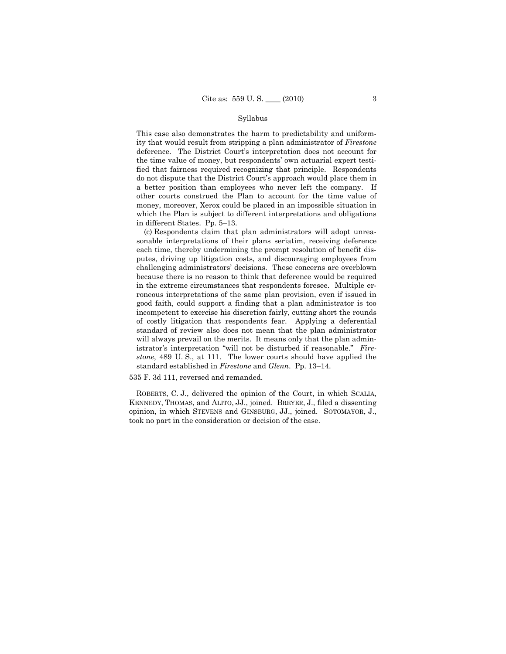#### Syllabus

This case also demonstrates the harm to predictability and uniformity that would result from stripping a plan administrator of *Firestone*  deference. The District Court's interpretation does not account for the time value of money, but respondents' own actuarial expert testified that fairness required recognizing that principle. Respondents do not dispute that the District Court's approach would place them in a better position than employees who never left the company. If other courts construed the Plan to account for the time value of money, moreover, Xerox could be placed in an impossible situation in which the Plan is subject to different interpretations and obligations in different States. Pp. 5–13.

(c) Respondents claim that plan administrators will adopt unreasonable interpretations of their plans seriatim, receiving deference each time, thereby undermining the prompt resolution of benefit disputes, driving up litigation costs, and discouraging employees from challenging administrators' decisions. These concerns are overblown because there is no reason to think that deference would be required in the extreme circumstances that respondents foresee. Multiple erroneous interpretations of the same plan provision, even if issued in good faith, could support a finding that a plan administrator is too incompetent to exercise his discretion fairly, cutting short the rounds of costly litigation that respondents fear. Applying a deferential standard of review also does not mean that the plan administrator will always prevail on the merits. It means only that the plan administrator's interpretation "will not be disturbed if reasonable." *Firestone*, 489 U. S., at 111. The lower courts should have applied the standard established in *Firestone* and *Glenn*. Pp. 13–14.

535 F. 3d 111, reversed and remanded.

ROBERTS, C. J., delivered the opinion of the Court, in which SCALIA, KENNEDY, THOMAS, and ALITO, JJ., joined. BREYER, J., filed a dissenting opinion, in which STEVENS and GINSBURG, JJ., joined. SOTOMAYOR, J., took no part in the consideration or decision of the case.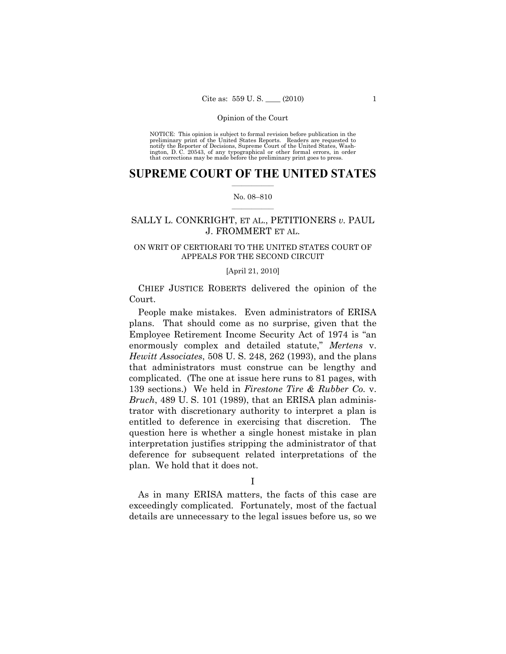NOTICE: This opinion is subject to formal revision before publication in the preliminary print of the United States Reports. Readers are requested to notify the Reporter of Decisions, Supreme Court of the United States, Washington, D. C. 20543, of any typographical or other formal errors, in order that corrections may be made before the preliminary print goes to press.

### $\frac{1}{2}$  ,  $\frac{1}{2}$  ,  $\frac{1}{2}$  ,  $\frac{1}{2}$  ,  $\frac{1}{2}$  ,  $\frac{1}{2}$  ,  $\frac{1}{2}$ **SUPREME COURT OF THE UNITED STATES**

### $\frac{1}{2}$  ,  $\frac{1}{2}$  ,  $\frac{1}{2}$  ,  $\frac{1}{2}$  ,  $\frac{1}{2}$  ,  $\frac{1}{2}$ No. 08–810

## SALLY L. CONKRIGHT, ET AL., PETITIONERS *v.* PAUL J. FROMMERT ET AL.

### ON WRIT OF CERTIORARI TO THE UNITED STATES COURT OF APPEALS FOR THE SECOND CIRCUIT

### [April 21, 2010]

CHIEF JUSTICE ROBERTS delivered the opinion of the Court.

People make mistakes. Even administrators of ERISA plans. That should come as no surprise, given that the Employee Retirement Income Security Act of 1974 is "an enormously complex and detailed statute," *Mertens* v. *Hewitt Associates*, 508 U. S. 248, 262 (1993), and the plans that administrators must construe can be lengthy and complicated. (The one at issue here runs to 81 pages, with 139 sections.) We held in *Firestone Tire & Rubber Co.* v. *Bruch*, 489 U. S. 101 (1989), that an ERISA plan administrator with discretionary authority to interpret a plan is entitled to deference in exercising that discretion. The question here is whether a single honest mistake in plan interpretation justifies stripping the administrator of that deference for subsequent related interpretations of the plan. We hold that it does not.

### I

As in many ERISA matters, the facts of this case are exceedingly complicated. Fortunately, most of the factual details are unnecessary to the legal issues before us, so we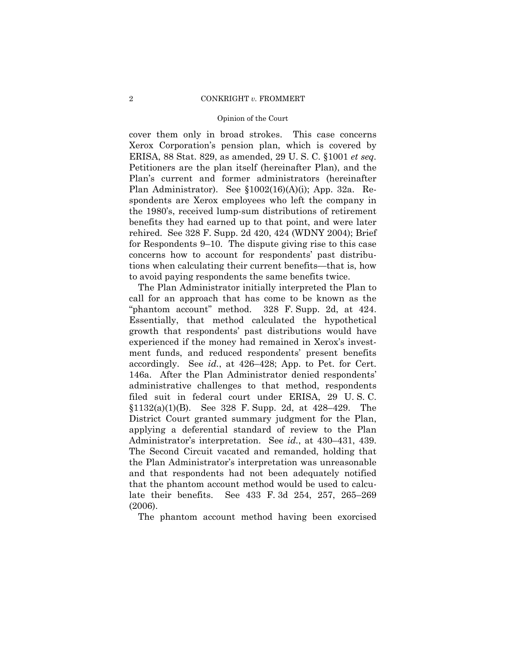cover them only in broad strokes. This case concerns Xerox Corporation's pension plan, which is covered by ERISA, 88 Stat. 829, as amended, 29 U. S. C. §1001 *et seq.* Petitioners are the plan itself (hereinafter Plan), and the Plan's current and former administrators (hereinafter Plan Administrator). See §1002(16)(A)(i); App. 32a. Respondents are Xerox employees who left the company in the 1980's, received lump-sum distributions of retirement benefits they had earned up to that point, and were later rehired. See 328 F. Supp. 2d 420, 424 (WDNY 2004); Brief for Respondents 9–10. The dispute giving rise to this case concerns how to account for respondents' past distributions when calculating their current benefits—that is, how to avoid paying respondents the same benefits twice.

The Plan Administrator initially interpreted the Plan to call for an approach that has come to be known as the "phantom account" method. 328 F. Supp. 2d, at 424. Essentially, that method calculated the hypothetical growth that respondents' past distributions would have experienced if the money had remained in Xerox's investment funds, and reduced respondents' present benefits accordingly. See *id.*, at 426–428; App. to Pet. for Cert. 146a. After the Plan Administrator denied respondents' administrative challenges to that method, respondents filed suit in federal court under ERISA, 29 U. S. C. §1132(a)(1)(B). See 328 F. Supp. 2d, at 428–429. The District Court granted summary judgment for the Plan, applying a deferential standard of review to the Plan Administrator's interpretation. See *id.*, at 430–431, 439. The Second Circuit vacated and remanded, holding that the Plan Administrator's interpretation was unreasonable and that respondents had not been adequately notified that the phantom account method would be used to calculate their benefits. See 433 F. 3d 254, 257, 265–269 (2006).

The phantom account method having been exorcised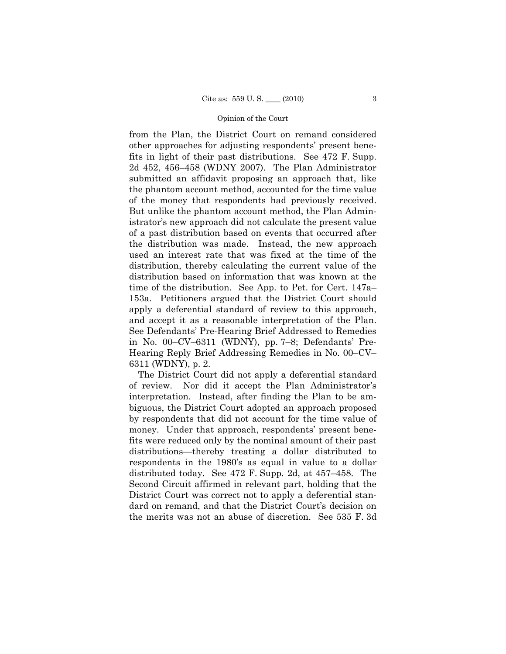from the Plan, the District Court on remand considered other approaches for adjusting respondents' present benefits in light of their past distributions. See 472 F. Supp. 2d 452, 456–458 (WDNY 2007). The Plan Administrator submitted an affidavit proposing an approach that, like the phantom account method, accounted for the time value of the money that respondents had previously received. But unlike the phantom account method, the Plan Administrator's new approach did not calculate the present value of a past distribution based on events that occurred after the distribution was made. Instead, the new approach used an interest rate that was fixed at the time of the distribution, thereby calculating the current value of the distribution based on information that was known at the time of the distribution. See App. to Pet. for Cert. 147a– 153a. Petitioners argued that the District Court should apply a deferential standard of review to this approach, and accept it as a reasonable interpretation of the Plan. See Defendants' Pre-Hearing Brief Addressed to Remedies in No. 00–CV–6311 (WDNY), pp. 7–8; Defendants' Pre-Hearing Reply Brief Addressing Remedies in No. 00–CV– 6311 (WDNY), p. 2.

The District Court did not apply a deferential standard of review. Nor did it accept the Plan Administrator's interpretation. Instead, after finding the Plan to be ambiguous, the District Court adopted an approach proposed by respondents that did not account for the time value of money. Under that approach, respondents' present benefits were reduced only by the nominal amount of their past distributions—thereby treating a dollar distributed to respondents in the 1980's as equal in value to a dollar distributed today. See 472 F. Supp. 2d, at 457–458. The Second Circuit affirmed in relevant part, holding that the District Court was correct not to apply a deferential standard on remand, and that the District Court's decision on the merits was not an abuse of discretion. See 535 F. 3d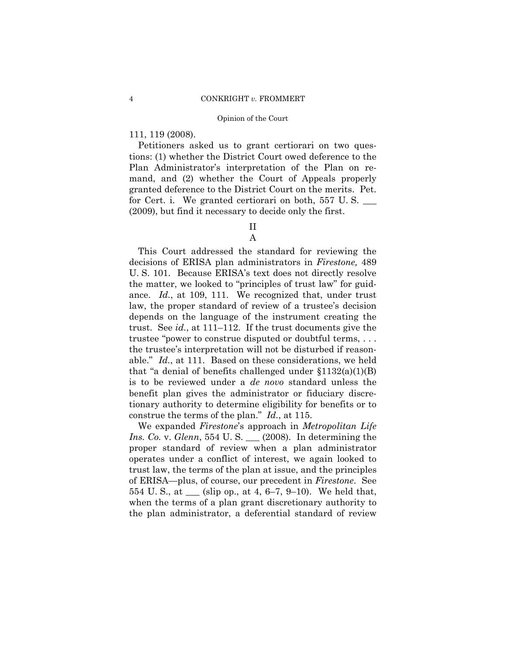### 111, 119 (2008).

Petitioners asked us to grant certiorari on two questions: (1) whether the District Court owed deference to the Plan Administrator's interpretation of the Plan on remand, and (2) whether the Court of Appeals properly granted deference to the District Court on the merits. Pet. for Cert. i. We granted certiorari on both,  $557 \text{ U.S.}$ (2009), but find it necessary to decide only the first.

# II

### A

This Court addressed the standard for reviewing the decisions of ERISA plan administrators in *Firestone,* 489 U. S. 101. Because ERISA's text does not directly resolve the matter, we looked to "principles of trust law" for guidance. *Id.*, at 109, 111. We recognized that, under trust law, the proper standard of review of a trustee's decision depends on the language of the instrument creating the trust. See *id.*, at 111–112. If the trust documents give the trustee "power to construe disputed or doubtful terms, . . . the trustee's interpretation will not be disturbed if reasonable." *Id.*, at 111. Based on these considerations, we held that "a denial of benefits challenged under  $$1132(a)(1)(B)$ is to be reviewed under a *de novo* standard unless the benefit plan gives the administrator or fiduciary discretionary authority to determine eligibility for benefits or to construe the terms of the plan." *Id.*, at 115.

 We expanded *Firestone*'s approach in *Metropolitan Life Ins. Co.* v. *Glenn*, 554 U. S. \_\_\_ (2008). In determining the proper standard of review when a plan administrator operates under a conflict of interest, we again looked to trust law, the terms of the plan at issue, and the principles of ERISA—plus, of course, our precedent in *Firestone*. See 554 U. S., at \_\_\_ (slip op., at 4, 6–7, 9–10). We held that, when the terms of a plan grant discretionary authority to the plan administrator, a deferential standard of review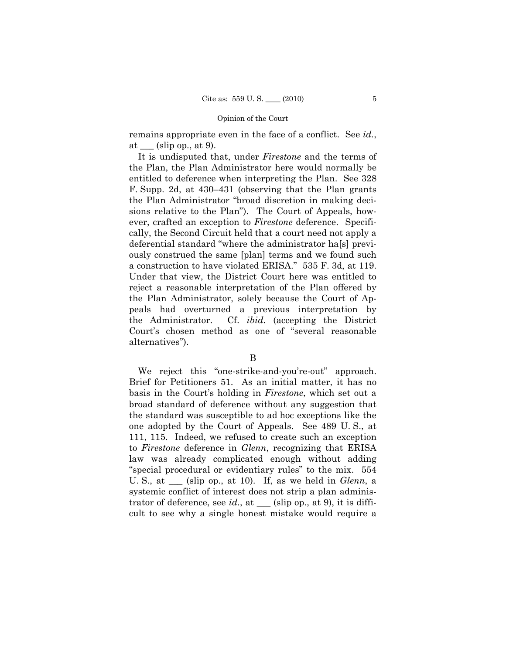remains appropriate even in the face of a conflict. See *id.*, at  $\_\_\$  (slip op., at 9).

It is undisputed that, under *Firestone* and the terms of the Plan, the Plan Administrator here would normally be entitled to deference when interpreting the Plan. See 328 F. Supp. 2d, at 430–431 (observing that the Plan grants the Plan Administrator "broad discretion in making decisions relative to the Plan"). The Court of Appeals, however, crafted an exception to *Firestone* deference. Specifically, the Second Circuit held that a court need not apply a deferential standard "where the administrator ha[s] previously construed the same [plan] terms and we found such a construction to have violated ERISA." 535 F. 3d, at 119. Under that view, the District Court here was entitled to reject a reasonable interpretation of the Plan offered by the Plan Administrator, solely because the Court of Appeals had overturned a previous interpretation by the Administrator. Cf. *ibid.* (accepting the District Court's chosen method as one of "several reasonable alternatives").

### B

We reject this "one-strike-and-you're-out" approach. Brief for Petitioners 51. As an initial matter, it has no basis in the Court's holding in *Firestone*, which set out a broad standard of deference without any suggestion that the standard was susceptible to ad hoc exceptions like the one adopted by the Court of Appeals. See 489 U. S., at 111, 115. Indeed, we refused to create such an exception to *Firestone* deference in *Glenn*, recognizing that ERISA law was already complicated enough without adding "special procedural or evidentiary rules" to the mix. 554 U. S., at \_\_\_ (slip op., at 10). If, as we held in *Glenn*, a systemic conflict of interest does not strip a plan administrator of deference, see *id.*, at  $\_\_\_$  (slip op., at 9), it is difficult to see why a single honest mistake would require a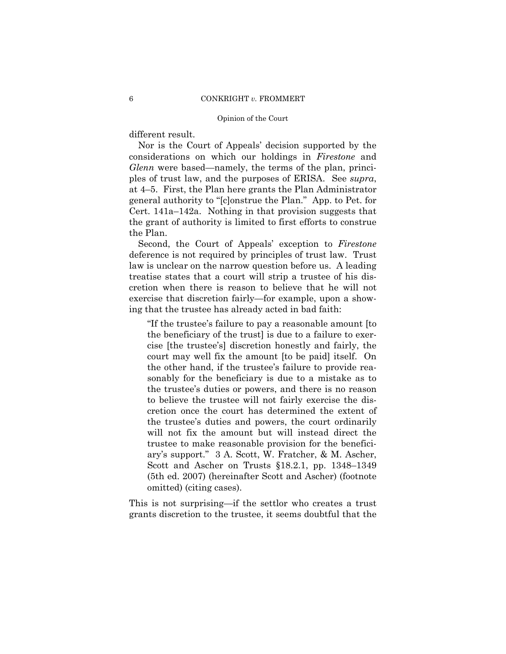different result.

Nor is the Court of Appeals' decision supported by the considerations on which our holdings in *Firestone* and *Glenn* were based—namely, the terms of the plan, principles of trust law, and the purposes of ERISA. See *supra*, at 4–5. First, the Plan here grants the Plan Administrator general authority to "[c]onstrue the Plan." App. to Pet. for Cert. 141a–142a. Nothing in that provision suggests that the grant of authority is limited to first efforts to construe the Plan.

Second, the Court of Appeals' exception to *Firestone*  deference is not required by principles of trust law. Trust law is unclear on the narrow question before us. A leading treatise states that a court will strip a trustee of his discretion when there is reason to believe that he will not exercise that discretion fairly—for example, upon a showing that the trustee has already acted in bad faith:

"If the trustee's failure to pay a reasonable amount [to the beneficiary of the trust] is due to a failure to exercise [the trustee's] discretion honestly and fairly, the court may well fix the amount [to be paid] itself. On the other hand, if the trustee's failure to provide reasonably for the beneficiary is due to a mistake as to the trustee's duties or powers, and there is no reason to believe the trustee will not fairly exercise the discretion once the court has determined the extent of the trustee's duties and powers, the court ordinarily will not fix the amount but will instead direct the trustee to make reasonable provision for the beneficiary's support." 3 A. Scott, W. Fratcher, & M. Ascher, Scott and Ascher on Trusts §18.2.1, pp. 1348–1349 (5th ed. 2007) (hereinafter Scott and Ascher) (footnote omitted) (citing cases).

This is not surprising—if the settlor who creates a trust grants discretion to the trustee, it seems doubtful that the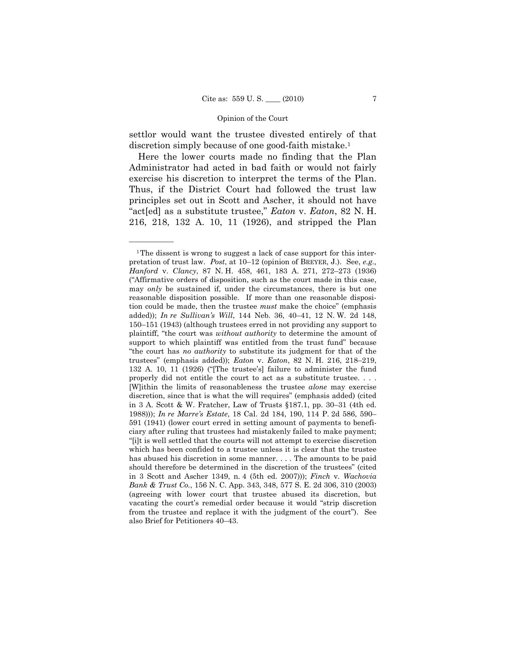settlor would want the trustee divested entirely of that discretion simply because of one good-faith mistake.<sup>1</sup>

Here the lower courts made no finding that the Plan Administrator had acted in bad faith or would not fairly exercise his discretion to interpret the terms of the Plan. Thus, if the District Court had followed the trust law principles set out in Scott and Ascher, it should not have "act[ed] as a substitute trustee," *Eaton* v. *Eaton*, 82 N. H. 216, 218, 132 A. 10, 11 (1926), and stripped the Plan

——————

<sup>1</sup>The dissent is wrong to suggest a lack of case support for this interpretation of trust law. *Post*, at 10–12 (opinion of BREYER, J.). See, *e.g., Hanford* v. *Clancy*, 87 N. H. 458, 461, 183 A. 271, 272–273 (1936) ("Affirmative orders of disposition, such as the court made in this case, may *only* be sustained if, under the circumstances, there is but one reasonable disposition possible. If more than one reasonable disposition could be made, then the trustee *must* make the choice" (emphasis added)); *In re Sullivan's Will*, 144 Neb. 36, 40–41, 12 N. W. 2d 148, 150–151 (1943) (although trustees erred in not providing any support to plaintiff, "the court was *without authority* to determine the amount of support to which plaintiff was entitled from the trust fund" because "the court has *no authority* to substitute its judgment for that of the trustees" (emphasis added)); *Eaton* v. *Eaton*, 82 N. H. 216, 218–219, 132 A. 10, 11 (1926) ("[The trustee's] failure to administer the fund properly did not entitle the court to act as a substitute trustee. . . . [W]ithin the limits of reasonableness the trustee *alone* may exercise discretion, since that is what the will requires" (emphasis added) (cited in 3 A. Scott & W. Fratcher, Law of Trusts §187.1, pp. 30–31 (4th ed. 1988))); *In re Marre's Estate*, 18 Cal. 2d 184, 190, 114 P. 2d 586, 590– 591 (1941) (lower court erred in setting amount of payments to beneficiary after ruling that trustees had mistakenly failed to make payment; "[i]t is well settled that the courts will not attempt to exercise discretion which has been confided to a trustee unless it is clear that the trustee has abused his discretion in some manner. . . . The amounts to be paid should therefore be determined in the discretion of the trustees" (cited in 3 Scott and Ascher 1349, n. 4 (5th ed. 2007))); *Finch* v. *Wachovia Bank & Trust Co.*, 156 N. C. App. 343, 348, 577 S. E. 2d 306, 310 (2003) (agreeing with lower court that trustee abused its discretion, but vacating the court's remedial order because it would "strip discretion from the trustee and replace it with the judgment of the court"). See also Brief for Petitioners 40–43.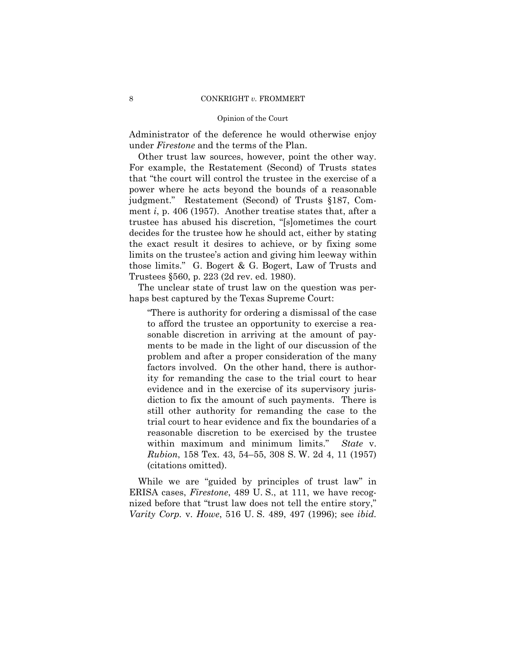### 8 CONKRIGHT *v*. FROMMERT

### Opinion of the Court

Administrator of the deference he would otherwise enjoy under *Firestone* and the terms of the Plan.

Other trust law sources, however, point the other way. For example, the Restatement (Second) of Trusts states that "the court will control the trustee in the exercise of a power where he acts beyond the bounds of a reasonable judgment." Restatement (Second) of Trusts §187, Comment *i*, p. 406 (1957). Another treatise states that, after a trustee has abused his discretion, "[s]ometimes the court decides for the trustee how he should act, either by stating the exact result it desires to achieve, or by fixing some limits on the trustee's action and giving him leeway within those limits." G. Bogert & G. Bogert, Law of Trusts and Trustees §560, p. 223 (2d rev. ed. 1980).

The unclear state of trust law on the question was perhaps best captured by the Texas Supreme Court:

"There is authority for ordering a dismissal of the case to afford the trustee an opportunity to exercise a reasonable discretion in arriving at the amount of payments to be made in the light of our discussion of the problem and after a proper consideration of the many factors involved. On the other hand, there is authority for remanding the case to the trial court to hear evidence and in the exercise of its supervisory jurisdiction to fix the amount of such payments. There is still other authority for remanding the case to the trial court to hear evidence and fix the boundaries of a reasonable discretion to be exercised by the trustee within maximum and minimum limits." *State* v. *Rubion*, 158 Tex. 43, 54–55, 308 S. W. 2d 4, 11 (1957) (citations omitted).

While we are "guided by principles of trust law" in ERISA cases, *Firestone*, 489 U. S., at 111, we have recognized before that "trust law does not tell the entire story," *Varity Corp.* v. *Howe*, 516 U. S. 489, 497 (1996); see *ibid.*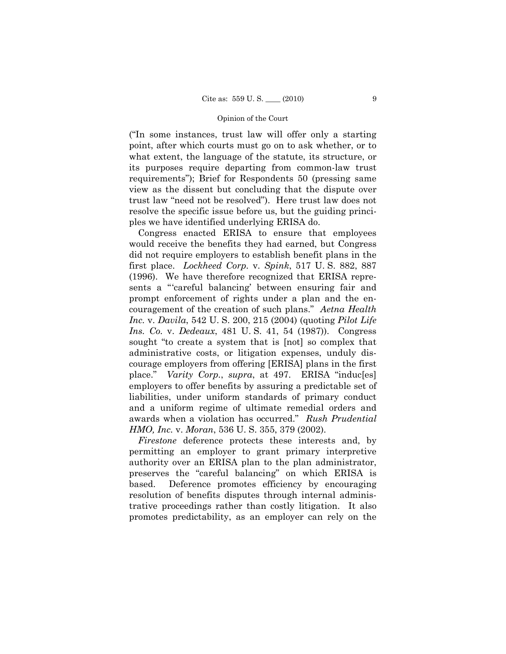("In some instances, trust law will offer only a starting point, after which courts must go on to ask whether, or to what extent, the language of the statute, its structure, or its purposes require departing from common-law trust requirements"); Brief for Respondents 50 (pressing same view as the dissent but concluding that the dispute over trust law "need not be resolved"). Here trust law does not resolve the specific issue before us, but the guiding principles we have identified underlying ERISA do.

Congress enacted ERISA to ensure that employees would receive the benefits they had earned, but Congress did not require employers to establish benefit plans in the first place. *Lockheed Corp.* v. *Spink*, 517 U. S. 882, 887 (1996). We have therefore recognized that ERISA represents a "'careful balancing' between ensuring fair and prompt enforcement of rights under a plan and the encouragement of the creation of such plans." *Aetna Health Inc.* v. *Davila*, 542 U. S. 200, 215 (2004) (quoting *Pilot Life Ins. Co.* v. *Dedeaux*, 481 U. S. 41, 54 (1987)). Congress sought "to create a system that is [not] so complex that administrative costs, or litigation expenses, unduly discourage employers from offering [ERISA] plans in the first place." *Varity Corp.*, *supra*, at 497. ERISA "induc[es] employers to offer benefits by assuring a predictable set of liabilities, under uniform standards of primary conduct and a uniform regime of ultimate remedial orders and awards when a violation has occurred." *Rush Prudential HMO, Inc.* v. *Moran*, 536 U. S. 355, 379 (2002).

*Firestone* deference protects these interests and, by permitting an employer to grant primary interpretive authority over an ERISA plan to the plan administrator, preserves the "careful balancing" on which ERISA is based. Deference promotes efficiency by encouraging resolution of benefits disputes through internal administrative proceedings rather than costly litigation. It also promotes predictability, as an employer can rely on the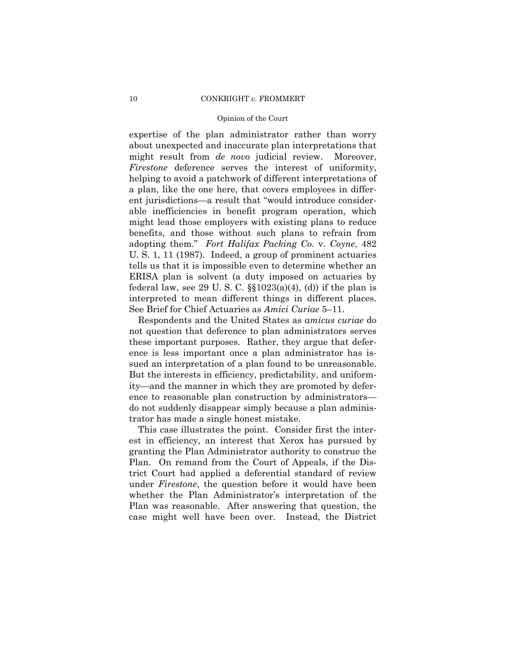### 10 CONKRIGHT *v.* FROMMERT

### Opinion of the Court

expertise of the plan administrator rather than worry about unexpected and inaccurate plan interpretations that might result from *de novo* judicial review. Moreover, *Firestone* deference serves the interest of uniformity, helping to avoid a patchwork of different interpretations of a plan, like the one here, that covers employees in different jurisdictions—a result that "would introduce considerable inefficiencies in benefit program operation, which might lead those employers with existing plans to reduce benefits, and those without such plans to refrain from adopting them." *Fort Halifax Packing Co.* v. *Coyne*, 482 U. S. 1, 11 (1987). Indeed, a group of prominent actuaries tells us that it is impossible even to determine whether an ERISA plan is solvent (a duty imposed on actuaries by federal law, see 29 U.S.C.  $\S(1023(a)(4), (d))$  if the plan is interpreted to mean different things in different places. See Brief for Chief Actuaries as *Amici Curiae* 5–11.

Respondents and the United States as *amicus curiae* do not question that deference to plan administrators serves these important purposes. Rather, they argue that deference is less important once a plan administrator has issued an interpretation of a plan found to be unreasonable. But the interests in efficiency, predictability, and uniformity—and the manner in which they are promoted by deference to reasonable plan construction by administrators do not suddenly disappear simply because a plan administrator has made a single honest mistake.

This case illustrates the point. Consider first the interest in efficiency, an interest that Xerox has pursued by granting the Plan Administrator authority to construe the Plan. On remand from the Court of Appeals, if the District Court had applied a deferential standard of review under *Firestone*, the question before it would have been whether the Plan Administrator's interpretation of the Plan was reasonable. After answering that question, the case might well have been over. Instead, the District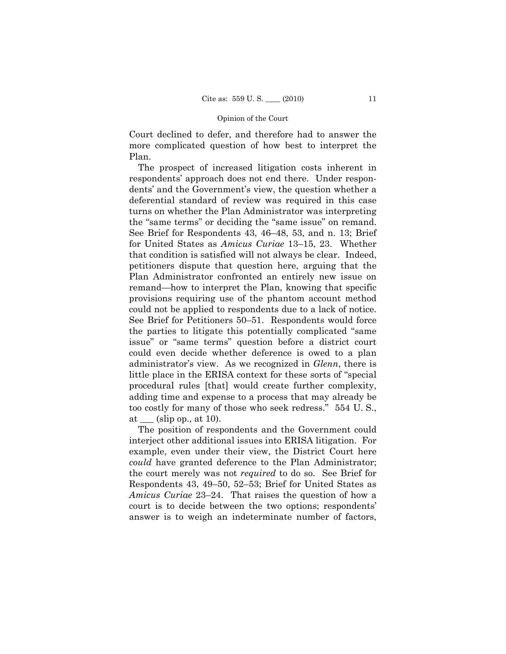Court declined to defer, and therefore had to answer the more complicated question of how best to interpret the Plan.

The prospect of increased litigation costs inherent in respondents' approach does not end there. Under respondents' and the Government's view, the question whether a deferential standard of review was required in this case turns on whether the Plan Administrator was interpreting the "same terms" or deciding the "same issue" on remand. See Brief for Respondents 43, 46–48, 53, and n. 13; Brief for United States as *Amicus Curiae* 13–15, 23. Whether that condition is satisfied will not always be clear. Indeed, petitioners dispute that question here, arguing that the Plan Administrator confronted an entirely new issue on remand—how to interpret the Plan, knowing that specific provisions requiring use of the phantom account method could not be applied to respondents due to a lack of notice. See Brief for Petitioners 50–51. Respondents would force the parties to litigate this potentially complicated "same issue" or "same terms" question before a district court could even decide whether deference is owed to a plan administrator's view. As we recognized in *Glenn*, there is little place in the ERISA context for these sorts of "special procedural rules [that] would create further complexity, adding time and expense to a process that may already be too costly for many of those who seek redress." 554 U. S., at  $(\text{slip op.}, \text{at } 10).$ 

The position of respondents and the Government could interject other additional issues into ERISA litigation. For example, even under their view, the District Court here *could* have granted deference to the Plan Administrator; the court merely was not *required* to do so. See Brief for Respondents 43, 49–50, 52–53; Brief for United States as *Amicus Curiae* 23–24. That raises the question of how a court is to decide between the two options; respondents' answer is to weigh an indeterminate number of factors,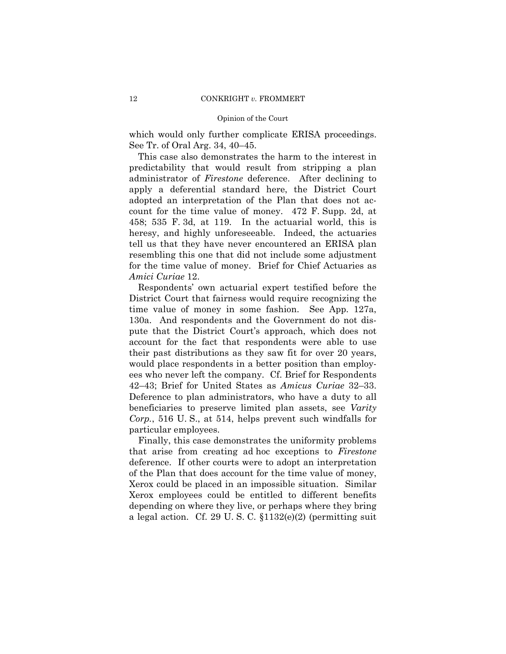which would only further complicate ERISA proceedings. See Tr. of Oral Arg. 34, 40–45.

This case also demonstrates the harm to the interest in predictability that would result from stripping a plan administrator of *Firestone* deference. After declining to apply a deferential standard here, the District Court adopted an interpretation of the Plan that does not account for the time value of money. 472 F. Supp. 2d, at 458; 535 F. 3d, at 119. In the actuarial world, this is heresy, and highly unforeseeable. Indeed, the actuaries tell us that they have never encountered an ERISA plan resembling this one that did not include some adjustment for the time value of money. Brief for Chief Actuaries as *Amici Curiae* 12.

Respondents' own actuarial expert testified before the District Court that fairness would require recognizing the time value of money in some fashion. See App. 127a, 130a. And respondents and the Government do not dispute that the District Court's approach, which does not account for the fact that respondents were able to use their past distributions as they saw fit for over 20 years, would place respondents in a better position than employees who never left the company. Cf. Brief for Respondents 42–43; Brief for United States as *Amicus Curiae* 32–33. Deference to plan administrators, who have a duty to all beneficiaries to preserve limited plan assets, see *Varity Corp.*, 516 U. S., at 514, helps prevent such windfalls for particular employees.

Finally, this case demonstrates the uniformity problems that arise from creating ad hoc exceptions to *Firestone*  deference. If other courts were to adopt an interpretation of the Plan that does account for the time value of money, Xerox could be placed in an impossible situation. Similar Xerox employees could be entitled to different benefits depending on where they live, or perhaps where they bring a legal action. Cf. 29 U. S. C. §1132(e)(2) (permitting suit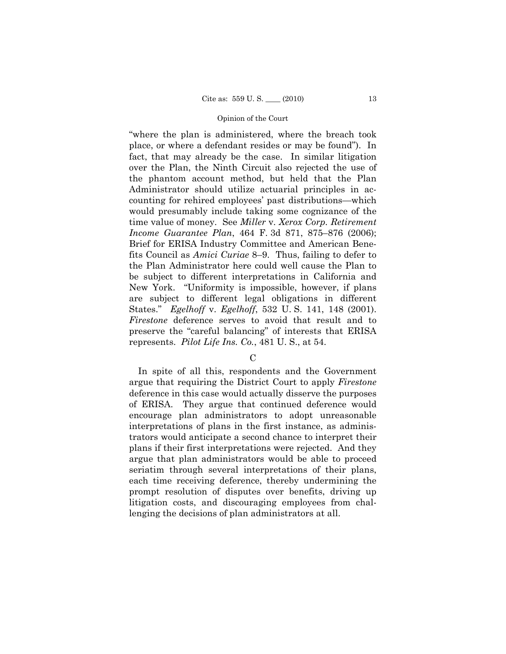"where the plan is administered, where the breach took place, or where a defendant resides or may be found"). In fact, that may already be the case. In similar litigation over the Plan, the Ninth Circuit also rejected the use of the phantom account method, but held that the Plan Administrator should utilize actuarial principles in accounting for rehired employees' past distributions—which would presumably include taking some cognizance of the time value of money. See *Miller* v. *Xerox Corp. Retirement Income Guarantee Plan*, 464 F. 3d 871, 875–876 (2006); Brief for ERISA Industry Committee and American Benefits Council as *Amici Curiae* 8–9. Thus, failing to defer to the Plan Administrator here could well cause the Plan to be subject to different interpretations in California and New York. "Uniformity is impossible, however, if plans are subject to different legal obligations in different States." *Egelhoff* v. *Egelhoff*, 532 U. S. 141, 148 (2001). *Firestone* deference serves to avoid that result and to preserve the "careful balancing" of interests that ERISA represents. *Pilot Life Ins. Co.*, 481 U. S., at 54.

 $\mathcal{C}$ 

In spite of all this, respondents and the Government argue that requiring the District Court to apply *Firestone*  deference in this case would actually disserve the purposes of ERISA. They argue that continued deference would encourage plan administrators to adopt unreasonable interpretations of plans in the first instance, as administrators would anticipate a second chance to interpret their plans if their first interpretations were rejected. And they argue that plan administrators would be able to proceed seriatim through several interpretations of their plans, each time receiving deference, thereby undermining the prompt resolution of disputes over benefits, driving up litigation costs, and discouraging employees from challenging the decisions of plan administrators at all.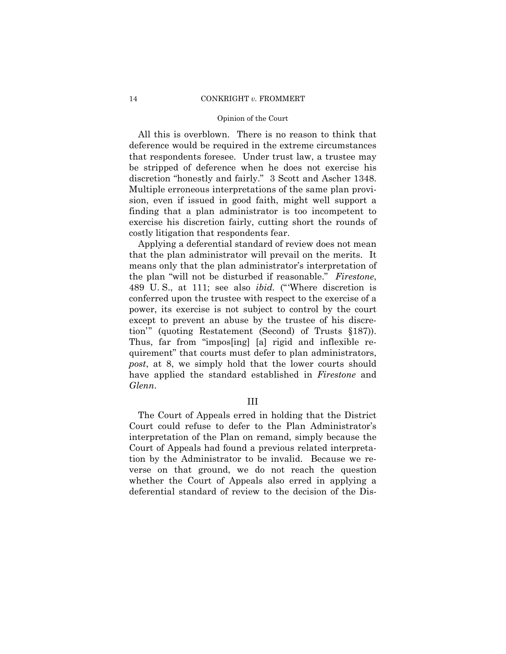### 14 CONKRIGHT *v.* FROMMERT

### Opinion of the Court

All this is overblown. There is no reason to think that deference would be required in the extreme circumstances that respondents foresee. Under trust law, a trustee may be stripped of deference when he does not exercise his discretion "honestly and fairly." 3 Scott and Ascher 1348. Multiple erroneous interpretations of the same plan provision, even if issued in good faith, might well support a finding that a plan administrator is too incompetent to exercise his discretion fairly, cutting short the rounds of costly litigation that respondents fear.

Applying a deferential standard of review does not mean that the plan administrator will prevail on the merits. It means only that the plan administrator's interpretation of the plan "will not be disturbed if reasonable." *Firestone*, 489 U. S., at 111; see also *ibid.* ("'Where discretion is conferred upon the trustee with respect to the exercise of a power, its exercise is not subject to control by the court except to prevent an abuse by the trustee of his discretion'" (quoting Restatement (Second) of Trusts §187)). Thus, far from "impos[ing] [a] rigid and inflexible requirement" that courts must defer to plan administrators, *post*, at 8, we simply hold that the lower courts should have applied the standard established in *Firestone* and *Glenn*.

### III

The Court of Appeals erred in holding that the District Court could refuse to defer to the Plan Administrator's interpretation of the Plan on remand, simply because the Court of Appeals had found a previous related interpretation by the Administrator to be invalid. Because we reverse on that ground, we do not reach the question whether the Court of Appeals also erred in applying a deferential standard of review to the decision of the Dis-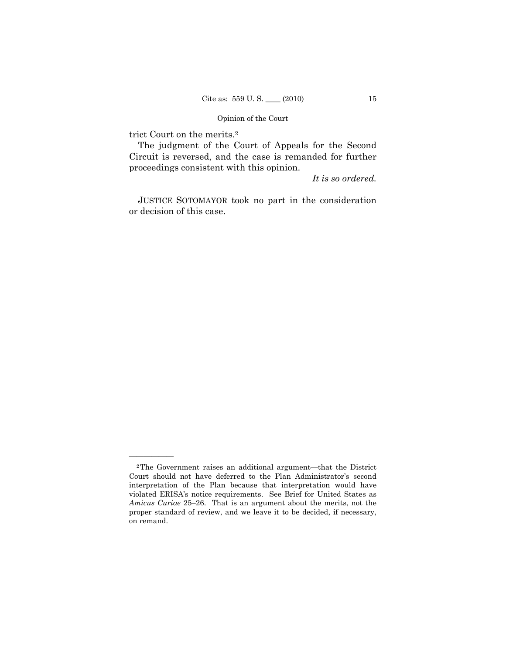trict Court on the merits.2

——————

The judgment of the Court of Appeals for the Second Circuit is reversed, and the case is remanded for further proceedings consistent with this opinion.

*It is so ordered.* 

JUSTICE SOTOMAYOR took no part in the consideration or decision of this case.

<sup>2</sup>The Government raises an additional argument—that the District Court should not have deferred to the Plan Administrator's second interpretation of the Plan because that interpretation would have violated ERISA's notice requirements. See Brief for United States as *Amicus Curiae* 25–26. That is an argument about the merits, not the proper standard of review, and we leave it to be decided, if necessary, on remand.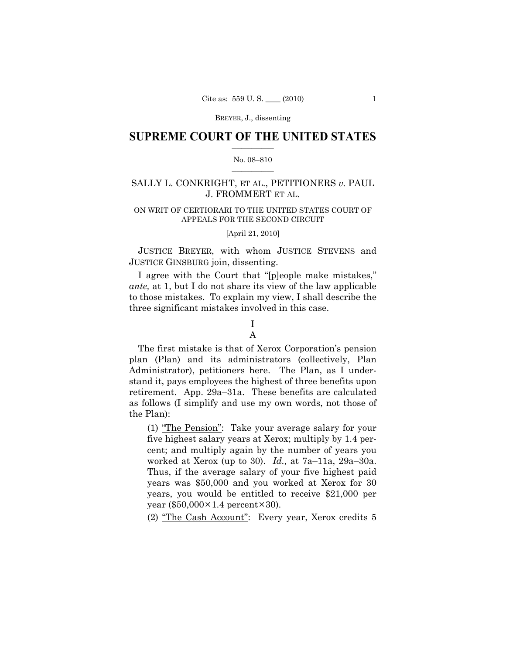### $\frac{1}{2}$  ,  $\frac{1}{2}$  ,  $\frac{1}{2}$  ,  $\frac{1}{2}$  ,  $\frac{1}{2}$  ,  $\frac{1}{2}$  ,  $\frac{1}{2}$ **SUPREME COURT OF THE UNITED STATES**

### $\frac{1}{2}$  ,  $\frac{1}{2}$  ,  $\frac{1}{2}$  ,  $\frac{1}{2}$  ,  $\frac{1}{2}$  ,  $\frac{1}{2}$ No. 08–810

# SALLY L. CONKRIGHT, ET AL., PETITIONERS *v.* PAUL J. FROMMERT ET AL.

### ON WRIT OF CERTIORARI TO THE UNITED STATES COURT OF APPEALS FOR THE SECOND CIRCUIT

### [April 21, 2010]

JUSTICE BREYER, with whom JUSTICE STEVENS and JUSTICE GINSBURG join, dissenting.

I agree with the Court that "[p]eople make mistakes," *ante,* at 1, but I do not share its view of the law applicable to those mistakes. To explain my view, I shall describe the three significant mistakes involved in this case.

## I A

The first mistake is that of Xerox Corporation's pension plan (Plan) and its administrators (collectively, Plan Administrator), petitioners here. The Plan, as I understand it, pays employees the highest of three benefits upon retirement. App. 29a–31a. These benefits are calculated as follows (I simplify and use my own words, not those of the Plan):

(1) "The Pension": Take your average salary for your five highest salary years at Xerox; multiply by 1.4 percent; and multiply again by the number of years you worked at Xerox (up to 30). *Id.,* at 7a–11a, 29a–30a. Thus, if the average salary of your five highest paid years was \$50,000 and you worked at Xerox for 30 years, you would be entitled to receive \$21,000 per year  $(\$50,000 \times 1.4$  percent $×30$ ).

(2) "The Cash Account": Every year, Xerox credits 5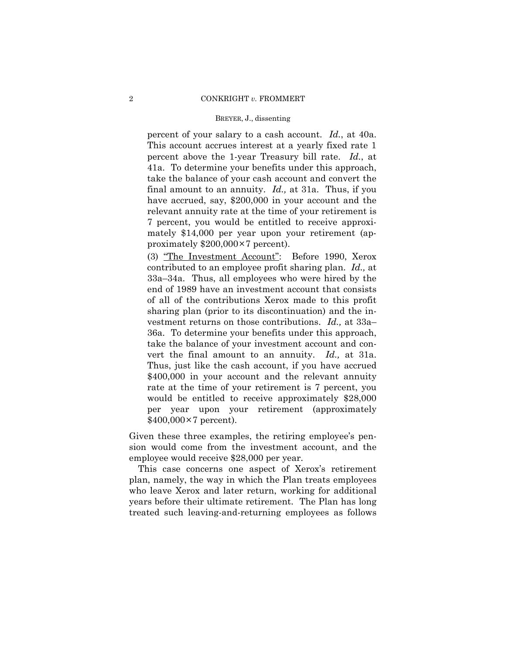percent of your salary to a cash account. *Id.*, at 40a. This account accrues interest at a yearly fixed rate 1 percent above the 1-year Treasury bill rate. *Id.*, at 41a. To determine your benefits under this approach, take the balance of your cash account and convert the final amount to an annuity. *Id.,* at 31a. Thus, if you have accrued, say, \$200,000 in your account and the relevant annuity rate at the time of your retirement is 7 percent, you would be entitled to receive approximately \$14,000 per year upon your retirement (approximately \$200,000×7 percent).

(3) "The Investment Account": Before 1990, Xerox contributed to an employee profit sharing plan. *Id.,* at 33a–34a. Thus, all employees who were hired by the end of 1989 have an investment account that consists of all of the contributions Xerox made to this profit sharing plan (prior to its discontinuation) and the investment returns on those contributions. *Id.,* at 33a– 36a. To determine your benefits under this approach, take the balance of your investment account and convert the final amount to an annuity. *Id.,* at 31a. Thus, just like the cash account, if you have accrued \$400,000 in your account and the relevant annuity rate at the time of your retirement is 7 percent, you would be entitled to receive approximately \$28,000 per year upon your retirement (approximately  $$400,000\times7$  percent).

Given these three examples, the retiring employee's pension would come from the investment account, and the employee would receive \$28,000 per year.

This case concerns one aspect of Xerox's retirement plan, namely, the way in which the Plan treats employees who leave Xerox and later return, working for additional years before their ultimate retirement. The Plan has long treated such leaving-and-returning employees as follows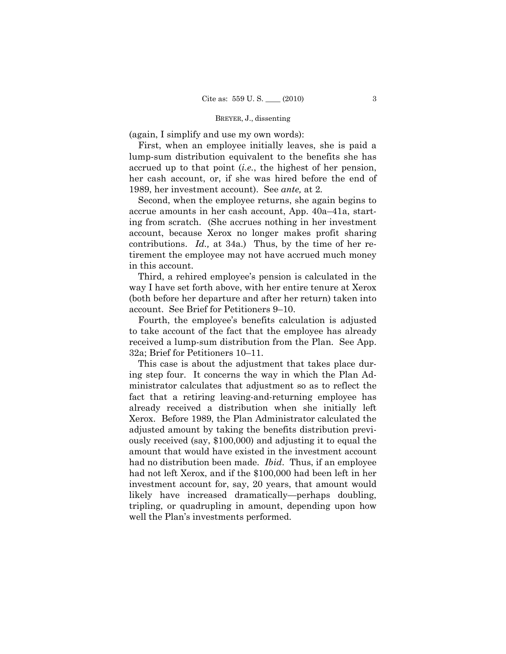(again, I simplify and use my own words):

First, when an employee initially leaves, she is paid a lump-sum distribution equivalent to the benefits she has accrued up to that point (*i.e.*, the highest of her pension, her cash account, or, if she was hired before the end of 1989, her investment account). See *ante,* at 2*.* 

Second, when the employee returns, she again begins to accrue amounts in her cash account, App. 40a–41a, starting from scratch. (She accrues nothing in her investment account, because Xerox no longer makes profit sharing contributions. *Id.,* at 34a.) Thus, by the time of her retirement the employee may not have accrued much money in this account.

Third, a rehired employee's pension is calculated in the way I have set forth above, with her entire tenure at Xerox (both before her departure and after her return) taken into account. See Brief for Petitioners 9–10.

Fourth, the employee's benefits calculation is adjusted to take account of the fact that the employee has already received a lump-sum distribution from the Plan. See App. 32a; Brief for Petitioners 10–11.

This case is about the adjustment that takes place during step four. It concerns the way in which the Plan Administrator calculates that adjustment so as to reflect the fact that a retiring leaving-and-returning employee has already received a distribution when she initially left Xerox. Before 1989, the Plan Administrator calculated the adjusted amount by taking the benefits distribution previously received (say, \$100,000) and adjusting it to equal the amount that would have existed in the investment account had no distribution been made. *Ibid*. Thus, if an employee had not left Xerox, and if the \$100,000 had been left in her investment account for, say, 20 years, that amount would likely have increased dramatically—perhaps doubling, tripling, or quadrupling in amount, depending upon how well the Plan's investments performed.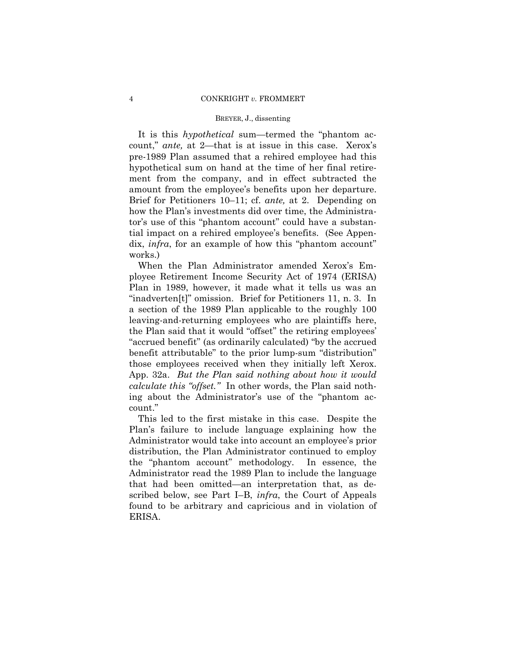It is this *hypothetical* sum—termed the "phantom account," *ante,* at 2—that is at issue in this case. Xerox's pre-1989 Plan assumed that a rehired employee had this hypothetical sum on hand at the time of her final retirement from the company, and in effect subtracted the amount from the employee's benefits upon her departure. Brief for Petitioners 10–11; cf. *ante,* at 2. Depending on how the Plan's investments did over time, the Administrator's use of this "phantom account" could have a substantial impact on a rehired employee's benefits. (See Appendix, *infra*, for an example of how this "phantom account" works.)

When the Plan Administrator amended Xerox's Employee Retirement Income Security Act of 1974 (ERISA) Plan in 1989, however, it made what it tells us was an "inadverten[t]" omission. Brief for Petitioners 11, n. 3. In a section of the 1989 Plan applicable to the roughly 100 leaving-and-returning employees who are plaintiffs here, the Plan said that it would "offset" the retiring employees' "accrued benefit" (as ordinarily calculated) "by the accrued benefit attributable" to the prior lump-sum "distribution" those employees received when they initially left Xerox. App. 32a. *But the Plan said nothing about how it would calculate this "offset."* In other words, the Plan said nothing about the Administrator's use of the "phantom account."

This led to the first mistake in this case. Despite the Plan's failure to include language explaining how the Administrator would take into account an employee's prior distribution, the Plan Administrator continued to employ the "phantom account" methodology. In essence, the Administrator read the 1989 Plan to include the language that had been omitted—an interpretation that, as described below, see Part I–B, *infra*, the Court of Appeals found to be arbitrary and capricious and in violation of ERISA.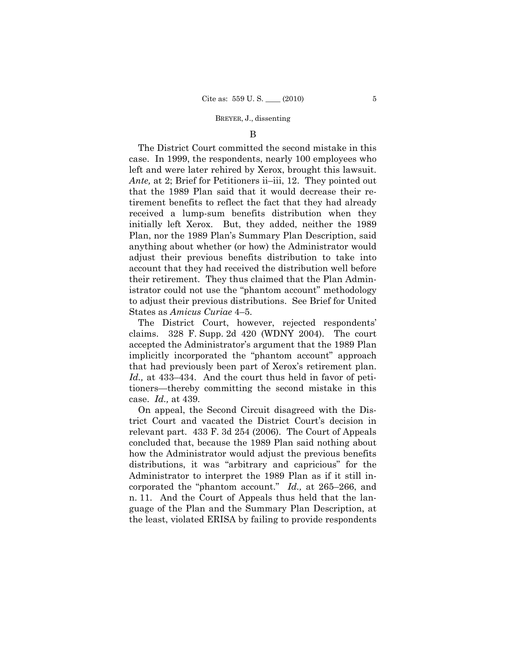### B

The District Court committed the second mistake in this case. In 1999, the respondents, nearly 100 employees who left and were later rehired by Xerox, brought this lawsuit. *Ante,* at 2; Brief for Petitioners ii–iii, 12. They pointed out that the 1989 Plan said that it would decrease their retirement benefits to reflect the fact that they had already received a lump-sum benefits distribution when they initially left Xerox. But, they added, neither the 1989 Plan, nor the 1989 Plan's Summary Plan Description, said anything about whether (or how) the Administrator would adjust their previous benefits distribution to take into account that they had received the distribution well before their retirement. They thus claimed that the Plan Administrator could not use the "phantom account" methodology to adjust their previous distributions. See Brief for United States as *Amicus Curiae* 4–5.

The District Court, however, rejected respondents' claims. 328 F. Supp. 2d 420 (WDNY 2004). The court accepted the Administrator's argument that the 1989 Plan implicitly incorporated the "phantom account" approach that had previously been part of Xerox's retirement plan. *Id.,* at 433–434. And the court thus held in favor of petitioners—thereby committing the second mistake in this case. *Id.,* at 439.

On appeal, the Second Circuit disagreed with the District Court and vacated the District Court's decision in relevant part. 433 F. 3d 254 (2006). The Court of Appeals concluded that, because the 1989 Plan said nothing about how the Administrator would adjust the previous benefits distributions, it was "arbitrary and capricious" for the Administrator to interpret the 1989 Plan as if it still incorporated the "phantom account." *Id.,* at 265–266, and n. 11. And the Court of Appeals thus held that the language of the Plan and the Summary Plan Description, at the least, violated ERISA by failing to provide respondents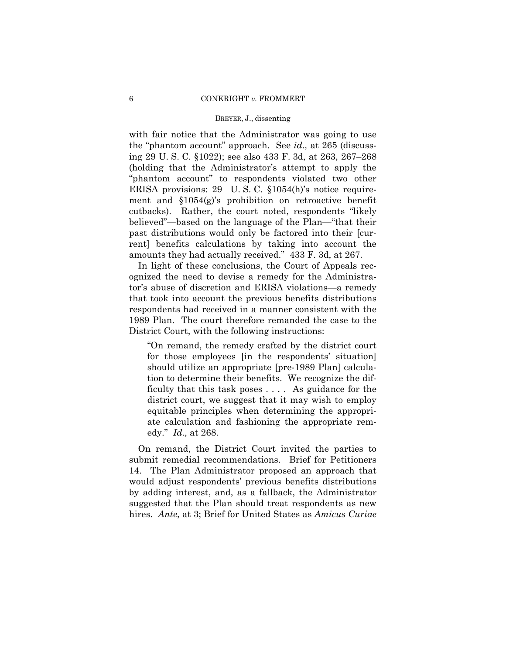with fair notice that the Administrator was going to use the "phantom account" approach. See *id.,* at 265 (discussing 29 U. S. C. §1022); see also 433 F. 3d, at 263, 267–268 (holding that the Administrator's attempt to apply the "phantom account" to respondents violated two other ERISA provisions: 29 U. S. C. §1054(h)'s notice requirement and §1054(g)'s prohibition on retroactive benefit cutbacks). Rather, the court noted, respondents "likely believed"—based on the language of the Plan—"that their past distributions would only be factored into their [current] benefits calculations by taking into account the amounts they had actually received." 433 F. 3d, at 267.

In light of these conclusions, the Court of Appeals recognized the need to devise a remedy for the Administrator's abuse of discretion and ERISA violations—a remedy that took into account the previous benefits distributions respondents had received in a manner consistent with the 1989 Plan. The court therefore remanded the case to the District Court, with the following instructions:

"On remand, the remedy crafted by the district court for those employees [in the respondents' situation] should utilize an appropriate [pre-1989 Plan] calculation to determine their benefits. We recognize the difficulty that this task poses . . . . As guidance for the district court, we suggest that it may wish to employ equitable principles when determining the appropriate calculation and fashioning the appropriate remedy." *Id.,* at 268.

On remand, the District Court invited the parties to submit remedial recommendations. Brief for Petitioners 14. The Plan Administrator proposed an approach that would adjust respondents' previous benefits distributions by adding interest, and, as a fallback, the Administrator suggested that the Plan should treat respondents as new hires. *Ante*, at 3; Brief for United States as *Amicus Curiae*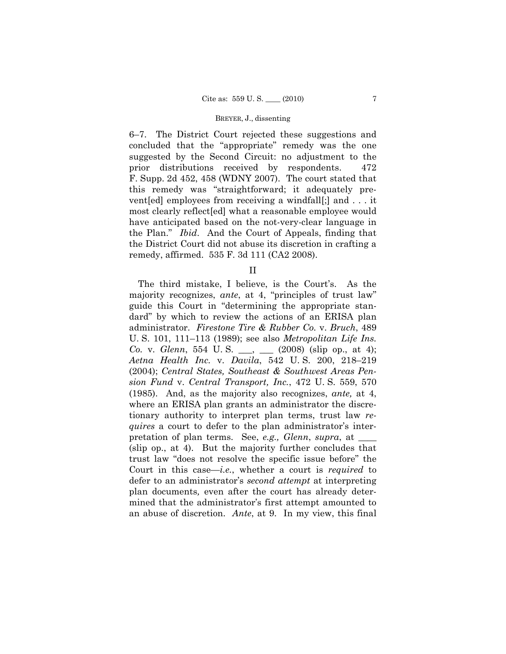6–7. The District Court rejected these suggestions and concluded that the "appropriate" remedy was the one suggested by the Second Circuit: no adjustment to the prior distributions received by respondents. 472 F. Supp. 2d 452, 458 (WDNY 2007). The court stated that this remedy was "straightforward; it adequately prevent[ed] employees from receiving a windfall[;] and . . . it most clearly reflect[ed] what a reasonable employee would have anticipated based on the not-very-clear language in the Plan." *Ibid*. And the Court of Appeals, finding that the District Court did not abuse its discretion in crafting a remedy, affirmed. 535 F. 3d 111 (CA2 2008).

II

The third mistake, I believe, is the Court's. As the majority recognizes, *ante*, at 4, "principles of trust law" guide this Court in "determining the appropriate standard" by which to review the actions of an ERISA plan administrator. *Firestone Tire & Rubber Co.* v. *Bruch*, 489 U. S. 101, 111–113 (1989); see also *Metropolitan Life Ins. Co.* v. *Glenn*, 554 U.S. \_\_, \_\_ (2008) (slip op., at 4); *Aetna Health Inc.* v. *Davila*, 542 U. S. 200, 218–219 (2004); *Central States, Southeast & Southwest Areas Pension Fund* v. *Central Transport, Inc.*, 472 U. S. 559, 570 (1985). And, as the majority also recognizes, *ante,* at 4, where an ERISA plan grants an administrator the discretionary authority to interpret plan terms, trust law *requires* a court to defer to the plan administrator's interpretation of plan terms. See, *e.g., Glenn*, *supra*, at \_\_\_\_ (slip op., at 4). But the majority further concludes that trust law "does not resolve the specific issue before" the Court in this case—*i.e.*, whether a court is *required* to defer to an administrator's *second attempt* at interpreting plan documents*,* even after the court has already determined that the administrator's first attempt amounted to an abuse of discretion. *Ante*, at 9. In my view, this final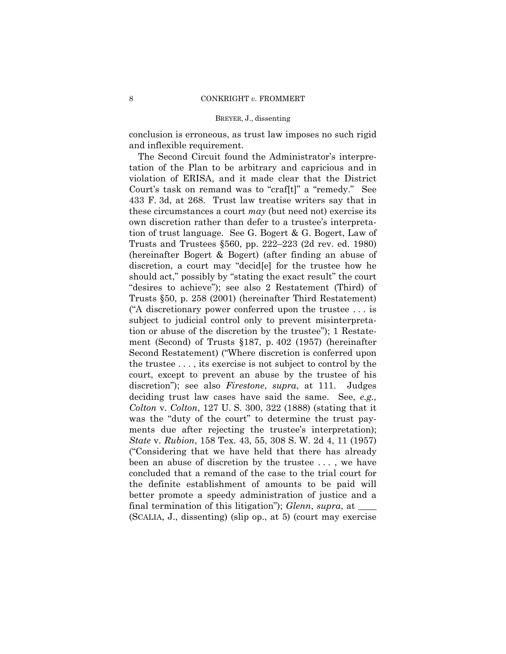conclusion is erroneous, as trust law imposes no such rigid and inflexible requirement.

The Second Circuit found the Administrator's interpretation of the Plan to be arbitrary and capricious and in violation of ERISA, and it made clear that the District Court's task on remand was to "craf[t]" a "remedy." See 433 F. 3d, at 268. Trust law treatise writers say that in these circumstances a court *may* (but need not) exercise its own discretion rather than defer to a trustee's interpretation of trust language. See G. Bogert & G. Bogert, Law of Trusts and Trustees §560, pp. 222–223 (2d rev. ed. 1980) (hereinafter Bogert & Bogert) (after finding an abuse of discretion, a court may "decid[e] for the trustee how he should act," possibly by "stating the exact result" the court "desires to achieve"); see also 2 Restatement (Third) of Trusts §50, p. 258 (2001) (hereinafter Third Restatement) ("A discretionary power conferred upon the trustee . . . is subject to judicial control only to prevent misinterpretation or abuse of the discretion by the trustee"); 1 Restatement (Second) of Trusts §187, p. 402 (1957) (hereinafter Second Restatement) ("Where discretion is conferred upon the trustee . . . , its exercise is not subject to control by the court, except to prevent an abuse by the trustee of his discretion"); see also *Firestone*, *supra*, at 111. Judges deciding trust law cases have said the same. See, *e.g., Colton* v. *Colton*, 127 U. S. 300, 322 (1888) (stating that it was the "duty of the court" to determine the trust payments due after rejecting the trustee's interpretation); *State* v. *Rubion*, 158 Tex. 43, 55, 308 S. W. 2d 4, 11 (1957) ("Considering that we have held that there has already been an abuse of discretion by the trustee . . . , we have concluded that a remand of the case to the trial court for the definite establishment of amounts to be paid will better promote a speedy administration of justice and a final termination of this litigation"); *Glenn*, *supra*, at \_\_\_\_ (SCALIA, J., dissenting) (slip op., at 5) (court may exercise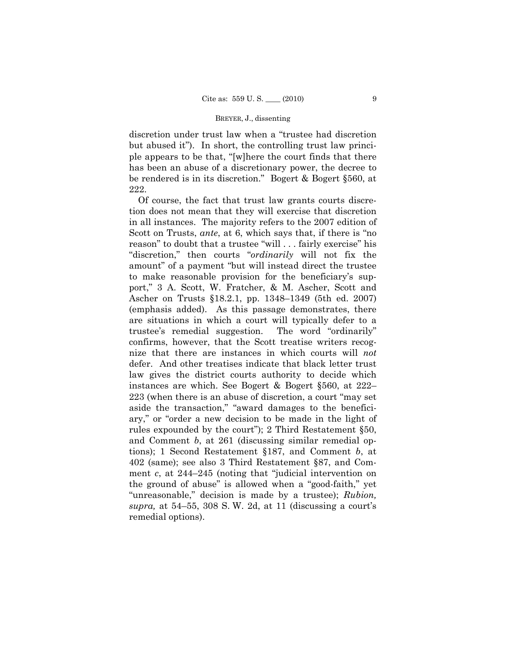discretion under trust law when a "trustee had discretion but abused it"). In short, the controlling trust law principle appears to be that, "[w]here the court finds that there has been an abuse of a discretionary power, the decree to be rendered is in its discretion." Bogert & Bogert §560, at 222.

Of course, the fact that trust law grants courts discretion does not mean that they will exercise that discretion in all instances. The majority refers to the 2007 edition of Scott on Trusts, *ante*, at 6, which says that, if there is "no reason" to doubt that a trustee "will . . . fairly exercise" his "discretion," then courts "*ordinarily* will not fix the amount" of a payment "but will instead direct the trustee to make reasonable provision for the beneficiary's support," 3 A. Scott, W. Fratcher, & M. Ascher, Scott and Ascher on Trusts §18.2.1, pp. 1348–1349 (5th ed. 2007) (emphasis added). As this passage demonstrates, there are situations in which a court will typically defer to a trustee's remedial suggestion. The word "ordinarily" confirms, however, that the Scott treatise writers recognize that there are instances in which courts will *not*  defer. And other treatises indicate that black letter trust law gives the district courts authority to decide which instances are which. See Bogert & Bogert §560, at 222– 223 (when there is an abuse of discretion, a court "may set aside the transaction," "award damages to the beneficiary," or "order a new decision to be made in the light of rules expounded by the court"); 2 Third Restatement §50, and Comment *b*, at 261 (discussing similar remedial options); 1 Second Restatement §187, and Comment *b*, at 402 (same); see also 3 Third Restatement §87, and Comment *c*, at 244–245 (noting that "judicial intervention on the ground of abuse" is allowed when a "good-faith," yet "unreasonable," decision is made by a trustee); *Rubion, supra,* at 54–55, 308 S. W. 2d, at 11 (discussing a court's remedial options).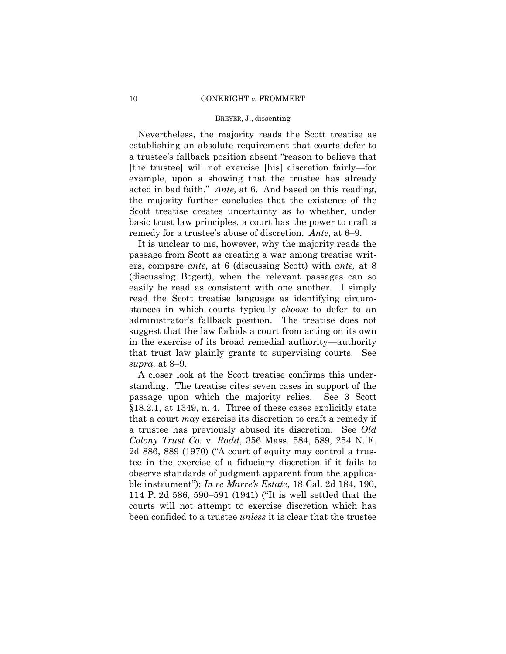Nevertheless, the majority reads the Scott treatise as establishing an absolute requirement that courts defer to a trustee's fallback position absent "reason to believe that [the trustee] will not exercise [his] discretion fairly—for example, upon a showing that the trustee has already acted in bad faith." *Ante,* at 6. And based on this reading, the majority further concludes that the existence of the Scott treatise creates uncertainty as to whether, under basic trust law principles, a court has the power to craft a remedy for a trustee's abuse of discretion. *Ante*, at 6–9.

It is unclear to me, however, why the majority reads the passage from Scott as creating a war among treatise writers, compare *ante*, at 6 (discussing Scott) with *ante,* at 8 (discussing Bogert), when the relevant passages can so easily be read as consistent with one another. I simply read the Scott treatise language as identifying circumstances in which courts typically *choose* to defer to an administrator's fallback position. The treatise does not suggest that the law forbids a court from acting on its own in the exercise of its broad remedial authority—authority that trust law plainly grants to supervising courts. See *supra,* at 8–9.

A closer look at the Scott treatise confirms this understanding. The treatise cites seven cases in support of the passage upon which the majority relies. See 3 Scott §18.2.1, at 1349, n. 4. Three of these cases explicitly state that a court *may* exercise its discretion to craft a remedy if a trustee has previously abused its discretion. See *Old Colony Trust Co.* v. *Rodd*, 356 Mass. 584, 589, 254 N. E. 2d 886, 889 (1970) ("A court of equity may control a trustee in the exercise of a fiduciary discretion if it fails to observe standards of judgment apparent from the applicable instrument"); *In re Marre's Estate*, 18 Cal. 2d 184, 190, 114 P. 2d 586, 590–591 (1941) ("It is well settled that the courts will not attempt to exercise discretion which has been confided to a trustee *unless* it is clear that the trustee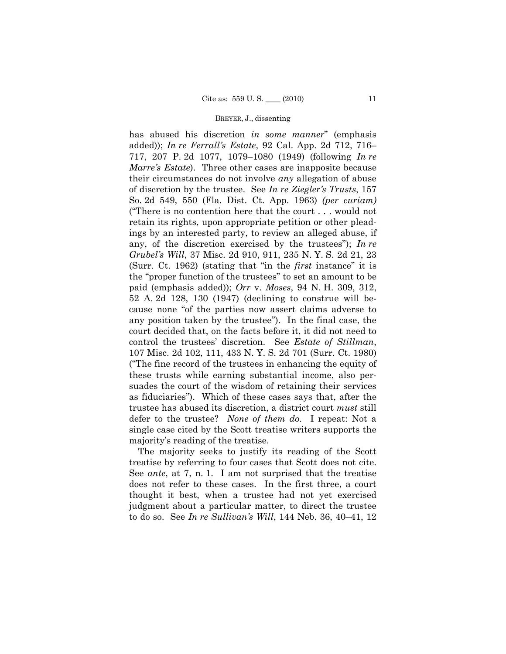has abused his discretion *in some manner*" (emphasis added)); *In re Ferrall's Estate*, 92 Cal. App. 2d 712, 716– 717, 207 P. 2d 1077, 1079–1080 (1949) (following *In re Marre's Estate*). Three other cases are inapposite because their circumstances do not involve *any* allegation of abuse of discretion by the trustee. See *In re Ziegler's Trusts*, 157 So. 2d 549, 550 (Fla. Dist. Ct. App. 1963) *(per curiam)* ("There is no contention here that the court . . . would not retain its rights, upon appropriate petition or other pleadings by an interested party, to review an alleged abuse, if any, of the discretion exercised by the trustees"); *In re Grubel's Will*, 37 Misc. 2d 910, 911, 235 N. Y. S. 2d 21, 23 (Surr. Ct. 1962) (stating that "in the *first* instance" it is the "proper function of the trustees" to set an amount to be paid (emphasis added)); *Orr* v. *Moses*, 94 N. H. 309, 312, 52 A. 2d 128, 130 (1947) (declining to construe will because none "of the parties now assert claims adverse to any position taken by the trustee"). In the final case, the court decided that, on the facts before it, it did not need to control the trustees' discretion. See *Estate of Stillman*, 107 Misc. 2d 102, 111, 433 N. Y. S. 2d 701 (Surr. Ct. 1980) ("The fine record of the trustees in enhancing the equity of these trusts while earning substantial income, also persuades the court of the wisdom of retaining their services as fiduciaries"). Which of these cases says that, after the trustee has abused its discretion, a district court *must* still defer to the trustee? *None of them do*. I repeat: Not a single case cited by the Scott treatise writers supports the majority's reading of the treatise.

The majority seeks to justify its reading of the Scott treatise by referring to four cases that Scott does not cite. See *ante*, at 7, n. 1. I am not surprised that the treatise does not refer to these cases. In the first three, a court thought it best, when a trustee had not yet exercised judgment about a particular matter, to direct the trustee to do so. See *In re Sullivan's Will*, 144 Neb. 36, 40–41, 12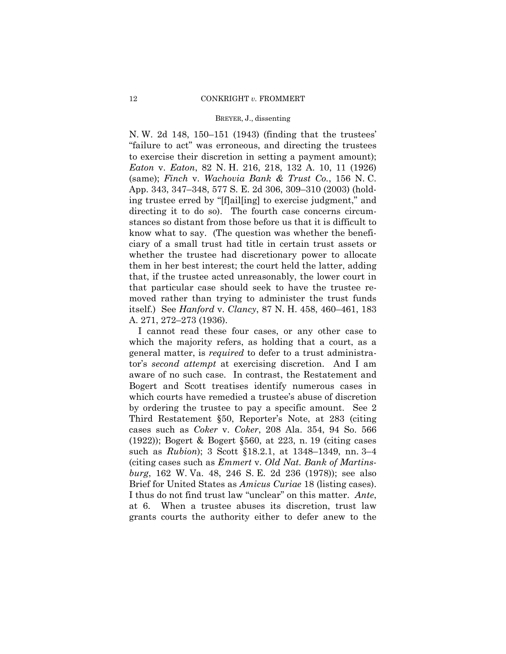N. W. 2d 148, 150–151 (1943) (finding that the trustees' "failure to act" was erroneous, and directing the trustees to exercise their discretion in setting a payment amount); *Eaton* v. *Eaton*, 82 N. H. 216, 218, 132 A. 10, 11 (1926) (same); *Finch* v. *Wachovia Bank & Trust Co.*, 156 N. C. App. 343, 347–348, 577 S. E. 2d 306, 309–310 (2003) (holding trustee erred by "[f]ail[ing] to exercise judgment," and directing it to do so). The fourth case concerns circumstances so distant from those before us that it is difficult to know what to say. (The question was whether the beneficiary of a small trust had title in certain trust assets or whether the trustee had discretionary power to allocate them in her best interest; the court held the latter, adding that, if the trustee acted unreasonably, the lower court in that particular case should seek to have the trustee removed rather than trying to administer the trust funds itself.) See *Hanford* v. *Clancy*, 87 N. H. 458, 460–461, 183 A. 271, 272–273 (1936).

I cannot read these four cases, or any other case to which the majority refers, as holding that a court, as a general matter, is *required* to defer to a trust administrator's *second attempt* at exercising discretion. And I am aware of no such case. In contrast, the Restatement and Bogert and Scott treatises identify numerous cases in which courts have remedied a trustee's abuse of discretion by ordering the trustee to pay a specific amount. See 2 Third Restatement §50, Reporter's Note, at 283 (citing cases such as *Coker* v. *Coker*, 208 Ala. 354, 94 So. 566 (1922)); Bogert & Bogert §560, at 223, n. 19 (citing cases such as *Rubion*); 3 Scott §18.2.1, at 1348–1349, nn. 3–4 (citing cases such as *Emmert* v. *Old Nat. Bank of Martinsburg*, 162 W. Va. 48, 246 S. E. 2d 236 (1978)); see also Brief for United States as *Amicus Curiae* 18 (listing cases). I thus do not find trust law "unclear" on this matter. *Ante*, at 6. When a trustee abuses its discretion, trust law grants courts the authority either to defer anew to the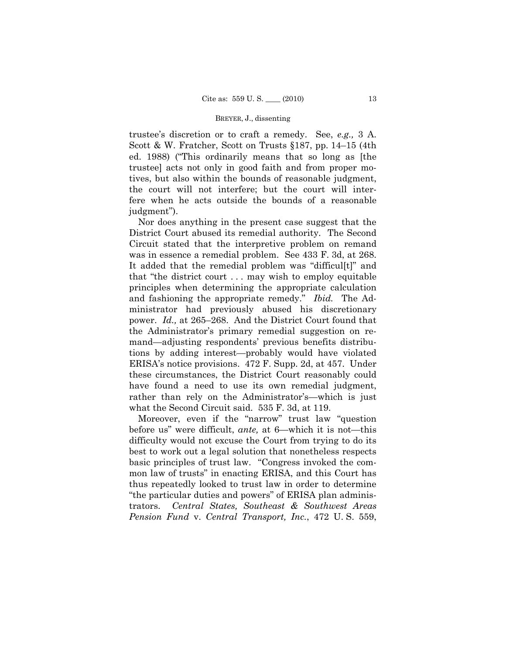trustee's discretion or to craft a remedy. See, *e.g.,* 3 A. Scott & W. Fratcher, Scott on Trusts §187, pp. 14–15 (4th ed. 1988) ("This ordinarily means that so long as [the trustee] acts not only in good faith and from proper motives, but also within the bounds of reasonable judgment, the court will not interfere; but the court will interfere when he acts outside the bounds of a reasonable judgment").

Nor does anything in the present case suggest that the District Court abused its remedial authority. The Second Circuit stated that the interpretive problem on remand was in essence a remedial problem. See 433 F. 3d, at 268. It added that the remedial problem was "difficul[t]" and that "the district court . . . may wish to employ equitable principles when determining the appropriate calculation and fashioning the appropriate remedy." *Ibid.* The Administrator had previously abused his discretionary power. *Id.,* at 265–268. And the District Court found that the Administrator's primary remedial suggestion on remand—adjusting respondents' previous benefits distributions by adding interest—probably would have violated ERISA's notice provisions. 472 F. Supp. 2d, at 457. Under these circumstances, the District Court reasonably could have found a need to use its own remedial judgment, rather than rely on the Administrator's—which is just what the Second Circuit said. 535 F. 3d, at 119.

Moreover, even if the "narrow" trust law "question before us" were difficult, *ante,* at 6—which it is not—this difficulty would not excuse the Court from trying to do its best to work out a legal solution that nonetheless respects basic principles of trust law. "Congress invoked the common law of trusts" in enacting ERISA, and this Court has thus repeatedly looked to trust law in order to determine "the particular duties and powers" of ERISA plan administrators. *Central States, Southeast & Southwest Areas Pension Fund* v. *Central Transport, Inc.*, 472 U. S. 559,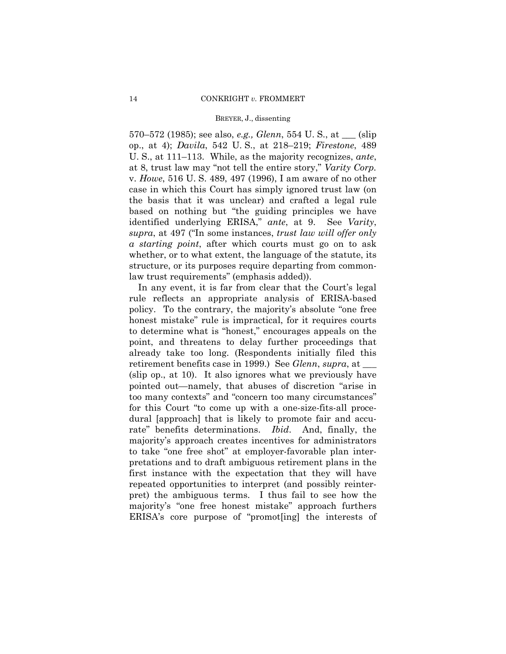570–572 (1985); see also, *e.g., Glenn*, 554 U. S., at \_\_\_ (slip op., at 4); *Davila*, 542 U. S., at 218–219; *Firestone*, 489 U. S., at 111–113. While, as the majority recognizes, *ante*, at 8, trust law may "not tell the entire story," *Varity Corp.*  v. *Howe*, 516 U. S. 489, 497 (1996), I am aware of no other case in which this Court has simply ignored trust law (on the basis that it was unclear) and crafted a legal rule based on nothing but "the guiding principles we have identified underlying ERISA," *ante*, at 9. See *Varity*, *supra*, at 497 ("In some instances, *trust law will offer only a starting point*, after which courts must go on to ask whether, or to what extent, the language of the statute, its structure, or its purposes require departing from commonlaw trust requirements" (emphasis added)).

In any event, it is far from clear that the Court's legal rule reflects an appropriate analysis of ERISA-based policy. To the contrary, the majority's absolute "one free honest mistake" rule is impractical, for it requires courts to determine what is "honest," encourages appeals on the point, and threatens to delay further proceedings that already take too long. (Respondents initially filed this retirement benefits case in 1999.) See *Glenn*, *supra*, at \_\_\_ (slip op., at 10). It also ignores what we previously have pointed out—namely, that abuses of discretion "arise in too many contexts" and "concern too many circumstances" for this Court "to come up with a one-size-fits-all procedural [approach] that is likely to promote fair and accurate" benefits determinations. *Ibid*. And, finally, the majority's approach creates incentives for administrators to take "one free shot" at employer-favorable plan interpretations and to draft ambiguous retirement plans in the first instance with the expectation that they will have repeated opportunities to interpret (and possibly reinterpret) the ambiguous terms. I thus fail to see how the majority's "one free honest mistake" approach furthers ERISA's core purpose of "promot[ing] the interests of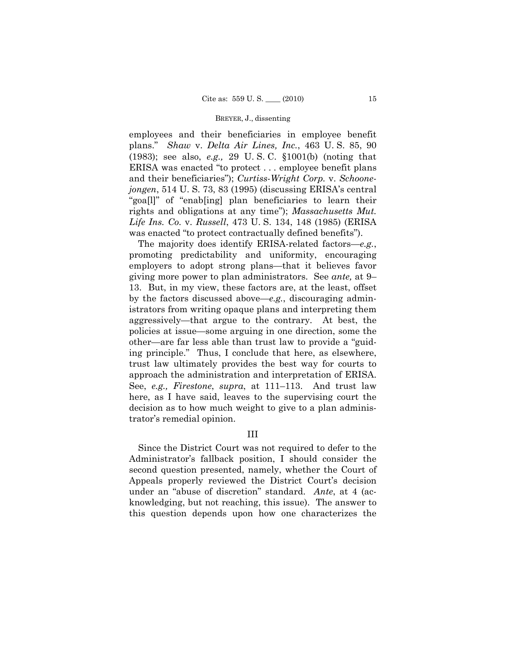employees and their beneficiaries in employee benefit plans." *Shaw* v. *Delta Air Lines, Inc.*, 463 U. S. 85, 90 (1983); see also, *e.g.,* 29 U. S. C. §1001(b) (noting that ERISA was enacted "to protect . . . employee benefit plans and their beneficiaries"); *Curtiss-Wright Corp.* v. *Schoonejongen*, 514 U. S. 73, 83 (1995) (discussing ERISA's central "goa[l]" of "enab[ing] plan beneficiaries to learn their rights and obligations at any time"); *Massachusetts Mut. Life Ins. Co.* v. *Russell*, 473 U. S. 134, 148 (1985) (ERISA was enacted "to protect contractually defined benefits").

The majority does identify ERISA-related factors—*e.g.*, promoting predictability and uniformity, encouraging employers to adopt strong plans—that it believes favor giving more power to plan administrators. See *ante,* at 9– 13. But, in my view, these factors are, at the least, offset by the factors discussed above—*e.g.*, discouraging administrators from writing opaque plans and interpreting them aggressively—that argue to the contrary. At best, the policies at issue—some arguing in one direction, some the other—are far less able than trust law to provide a "guiding principle." Thus, I conclude that here, as elsewhere, trust law ultimately provides the best way for courts to approach the administration and interpretation of ERISA. See, *e.g., Firestone*, *supra*, at 111–113. And trust law here, as I have said, leaves to the supervising court the decision as to how much weight to give to a plan administrator's remedial opinion.

### III

Since the District Court was not required to defer to the Administrator's fallback position, I should consider the second question presented, namely, whether the Court of Appeals properly reviewed the District Court's decision under an "abuse of discretion" standard. *Ante*, at 4 (acknowledging, but not reaching, this issue). The answer to this question depends upon how one characterizes the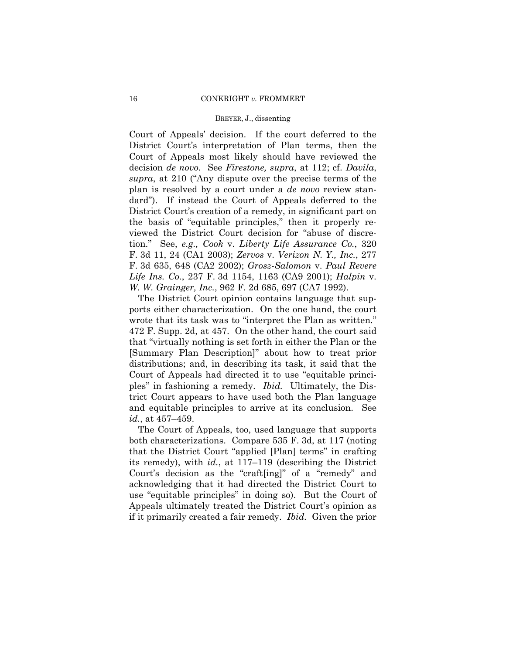Court of Appeals' decision. If the court deferred to the District Court's interpretation of Plan terms, then the Court of Appeals most likely should have reviewed the decision *de novo.* See *Firestone, supra*, at 112; cf. *Davila*, *supra*, at 210 ("Any dispute over the precise terms of the plan is resolved by a court under a *de novo* review standard"). If instead the Court of Appeals deferred to the District Court's creation of a remedy, in significant part on the basis of "equitable principles," then it properly reviewed the District Court decision for "abuse of discretion." See, *e.g., Cook* v. *Liberty Life Assurance Co.*, 320 F. 3d 11, 24 (CA1 2003); *Zervos* v. *Verizon N. Y., Inc.*, 277 F. 3d 635, 648 (CA2 2002); *Grosz-Salomon* v. *Paul Revere Life Ins. Co.*, 237 F. 3d 1154, 1163 (CA9 2001); *Halpin* v. *W. W. Grainger, Inc.*, 962 F. 2d 685, 697 (CA7 1992).

The District Court opinion contains language that supports either characterization. On the one hand, the court wrote that its task was to "interpret the Plan as written." 472 F. Supp. 2d, at 457. On the other hand, the court said that "virtually nothing is set forth in either the Plan or the [Summary Plan Description]" about how to treat prior distributions; and, in describing its task, it said that the Court of Appeals had directed it to use "equitable principles" in fashioning a remedy. *Ibid.* Ultimately, the District Court appears to have used both the Plan language and equitable principles to arrive at its conclusion. See *id.*, at 457–459.

The Court of Appeals, too, used language that supports both characterizations. Compare 535 F. 3d, at 117 (noting that the District Court "applied [Plan] terms" in crafting its remedy), with *id.*, at 117–119 (describing the District Court's decision as the "craft[ing]" of a "remedy" and acknowledging that it had directed the District Court to use "equitable principles" in doing so). But the Court of Appeals ultimately treated the District Court's opinion as if it primarily created a fair remedy. *Ibid.* Given the prior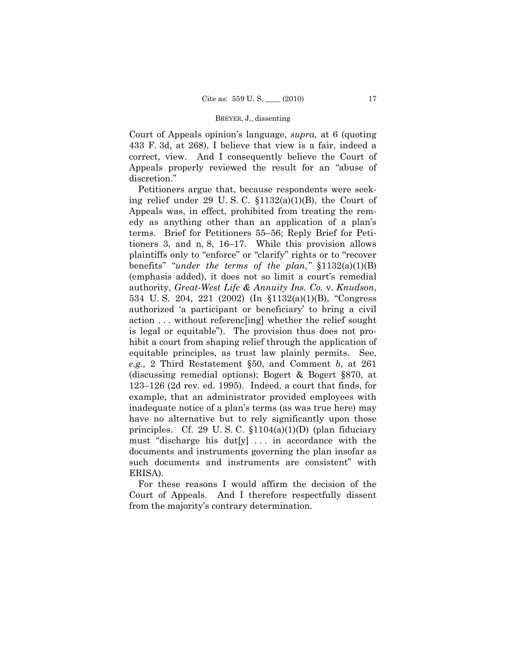Court of Appeals opinion's language, *supra,* at 6 (quoting 433 F. 3d, at 268), I believe that view is a fair, indeed a correct, view. And I consequently believe the Court of Appeals properly reviewed the result for an "abuse of discretion."

Petitioners argue that, because respondents were seeking relief under 29 U.S.C.  $\S 1132(a)(1)(B)$ , the Court of Appeals was, in effect, prohibited from treating the remedy as anything other than an application of a plan's terms. Brief for Petitioners 55–56; Reply Brief for Petitioners 3, and n. 8, 16–17. While this provision allows plaintiffs only to "enforce" or "clarify" rights or to "recover benefits" "*under the terms of the plan*,*"* §1132(a)(1)(B) (emphasis added), it does not so limit a court's remedial authority, *Great-West Life & Annuity Ins. Co.* v. *Knudson*, 534 U. S. 204, 221 (2002) (In §1132(a)(1)(B), "Congress authorized 'a participant or beneficiary' to bring a civil action . . . without referenc[ing] whether the relief sought is legal or equitable"). The provision thus does not prohibit a court from shaping relief through the application of equitable principles, as trust law plainly permits. See, *e.g.,* 2 Third Restatement §50, and Comment *b*, at 261 (discussing remedial options); Bogert & Bogert §870, at 123–126 (2d rev. ed. 1995). Indeed, a court that finds, for example, that an administrator provided employees with inadequate notice of a plan's terms (as was true here) may have no alternative but to rely significantly upon those principles. Cf. 29 U.S.C.  $$1104(a)(1)(D)$  (plan fiduciary must "discharge his dut[y]  $\ldots$  in accordance with the documents and instruments governing the plan insofar as such documents and instruments are consistent" with ERISA).

For these reasons I would affirm the decision of the Court of Appeals. And I therefore respectfully dissent from the majority's contrary determination.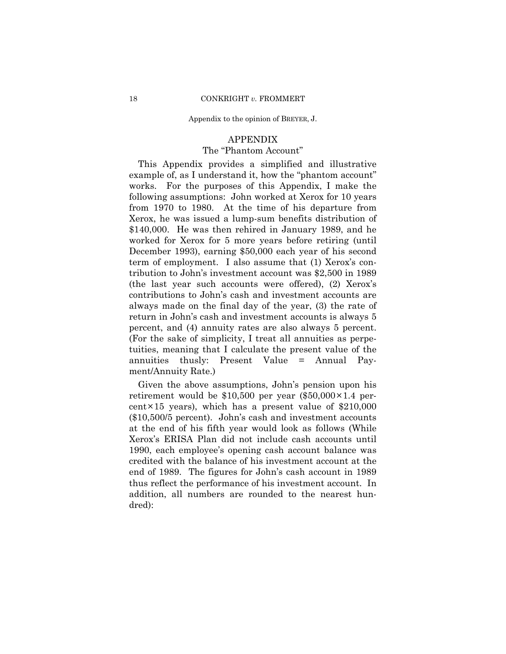#### Appendix to the opinion of BREYER, J.

### APPENDIX

# The "Phantom Account"

This Appendix provides a simplified and illustrative example of, as I understand it, how the "phantom account" works. For the purposes of this Appendix, I make the following assumptions: John worked at Xerox for 10 years from 1970 to 1980. At the time of his departure from Xerox, he was issued a lump-sum benefits distribution of \$140,000. He was then rehired in January 1989, and he worked for Xerox for 5 more years before retiring (until December 1993), earning \$50,000 each year of his second term of employment. I also assume that (1) Xerox's contribution to John's investment account was \$2,500 in 1989 (the last year such accounts were offered), (2) Xerox's contributions to John's cash and investment accounts are always made on the final day of the year, (3) the rate of return in John's cash and investment accounts is always 5 percent, and (4) annuity rates are also always 5 percent. (For the sake of simplicity, I treat all annuities as perpetuities, meaning that I calculate the present value of the annuities thusly: Present Value = Annual Payment/Annuity Rate.)

Given the above assumptions, John's pension upon his retirement would be  $$10,500$  per year  $$50,000 \times 1.4$  percent $\times$ 15 years), which has a present value of \$210,000 (\$10,500/5 percent). John's cash and investment accounts at the end of his fifth year would look as follows (While Xerox's ERISA Plan did not include cash accounts until 1990, each employee's opening cash account balance was credited with the balance of his investment account at the end of 1989. The figures for John's cash account in 1989 thus reflect the performance of his investment account. In addition, all numbers are rounded to the nearest hundred):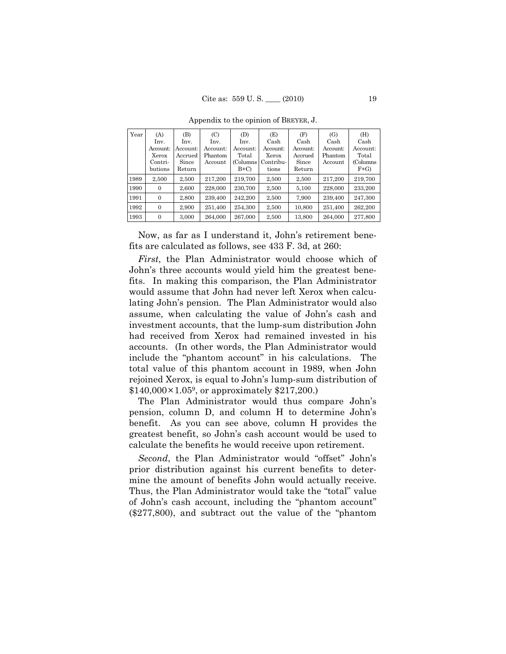| Year | (A)      | (B)      | (C)      | (D)       | (E)       | (F)      | (G)      | (H)       |
|------|----------|----------|----------|-----------|-----------|----------|----------|-----------|
|      | Inv.     | Inv.     | Inv.     | Inv.      | Cash      | Cash     | Cash     | Cash      |
|      | Account: | Account: | Account: | Account:  | Account:  | Account: | Account: | Account:  |
|      | Xerox    | Accrued  | Phantom  | Total     | Xerox     | Accrued  | Phantom  | Total     |
|      | Contri-  | Since    | Account  | (Columns) | Contribu- | Since    | Account  | (Columns) |
|      | butions  | Return   |          | $B+C$     | tions     | Return   |          | $F+G$     |
| 1989 | 2,500    | 2,500    | 217.200  | 219.700   | 2,500     | 2,500    | 217.200  | 219.700   |
| 1990 | $\Omega$ | 2,600    | 228,000  | 230,700   | 2,500     | 5,100    | 228,000  | 233.200   |
| 1991 | $\Omega$ | 2.800    | 239.400  | 242,200   | 2.500     | 7,900    | 239,400  | 247.300   |
| 1992 | $\Omega$ | 2.900    | 251,400  | 254.300   | 2.500     | 10,800   | 251.400  | 262,200   |
| 1993 | $\Omega$ | 3,000    | 264.000  | 267.000   | 2,500     | 13,800   | 264,000  | 277,800   |

Appendix to the opinion of BREYER, J.

Now, as far as I understand it, John's retirement benefits are calculated as follows, see 433 F. 3d, at 260:

*First*, the Plan Administrator would choose which of John's three accounts would yield him the greatest benefits. In making this comparison, the Plan Administrator would assume that John had never left Xerox when calculating John's pension. The Plan Administrator would also assume, when calculating the value of John's cash and investment accounts, that the lump-sum distribution John had received from Xerox had remained invested in his accounts. (In other words, the Plan Administrator would include the "phantom account" in his calculations. The total value of this phantom account in 1989, when John rejoined Xerox, is equal to John's lump-sum distribution of  $$140,000\times1.05^9$ , or approximately \$217,200.)

The Plan Administrator would thus compare John's pension, column D, and column H to determine John's benefit. As you can see above, column H provides the greatest benefit, so John's cash account would be used to calculate the benefits he would receive upon retirement.

Second, the Plan Administrator would "offset" John's prior distribution against his current benefits to determine the amount of benefits John would actually receive. Thus, the Plan Administrator would take the "total" value of John's cash account, including the "phantom account" (\$277,800), and subtract out the value of the "phantom